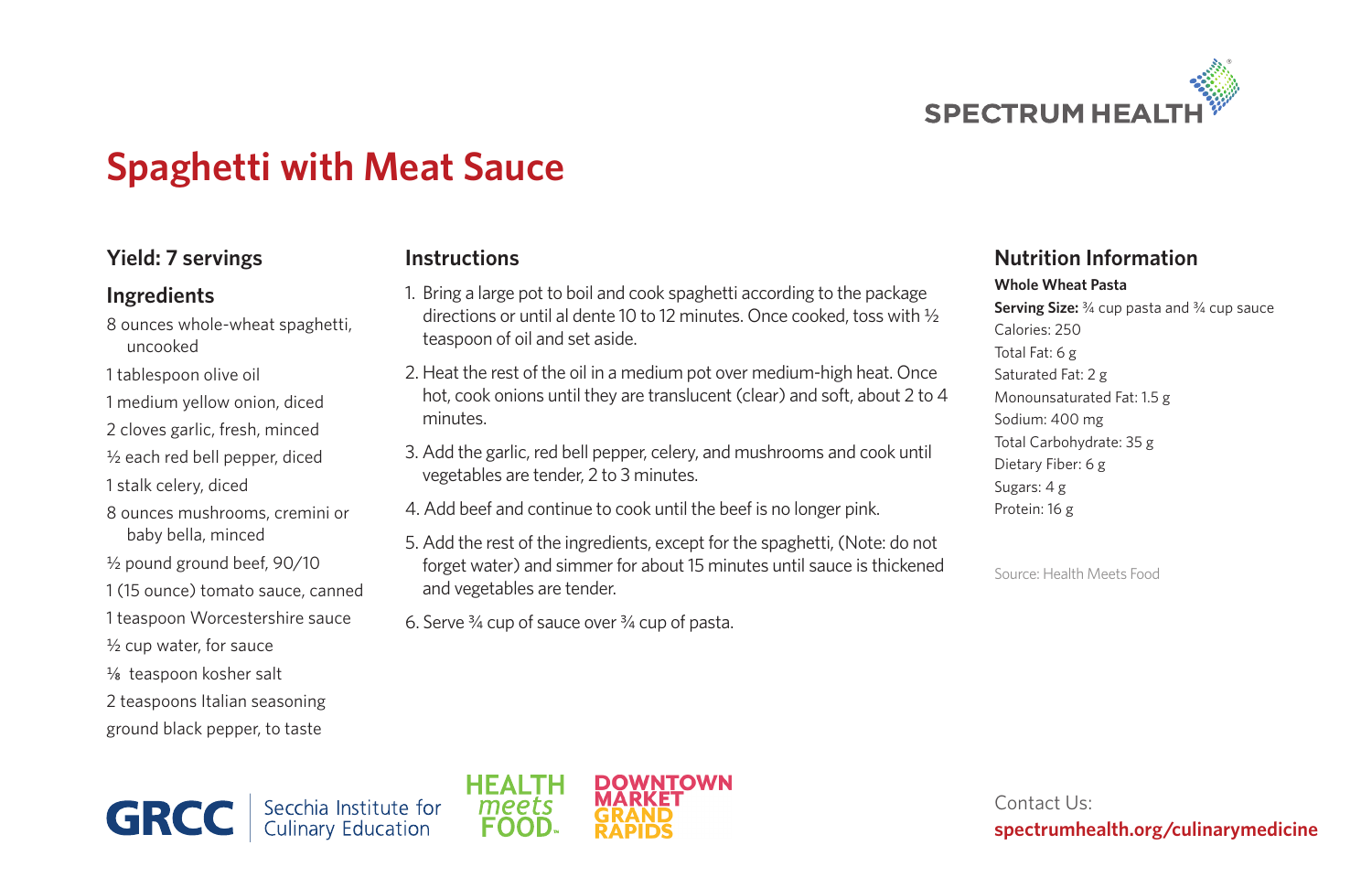

# **Spaghetti with Meat Sauce**

### **Yield: 7 servings**

#### **Ingredients**

- 8 ounces whole-wheat spaghetti, uncooked
- 1 tablespoon olive oil
- 1 medium yellow onion, diced
- 2 cloves garlic, fresh, minced
- 1/<sub>2</sub> each red bell pepper, diced
- 1 stalk celery, diced
- 8 ounces mushrooms, cremini or baby bella, minced
- 1/<sub>2</sub> pound ground beef, 90/10
- 1 (15 ounce) tomato sauce, canned
- 1 teaspoon Worcestershire sauce
- 1/2 cup water, for sauce
- ¼8 teaspoon kosher salt
- 2 teaspoons Italian seasoning ground black pepper, to taste

#### **Instructions**

- 1. Bring a large pot to boil and cook spaghetti according to the package directions or until al dente 10 to 12 minutes. Once cooked, toss with 1/2 teaspoon of oil and set aside.
- 2. Heat the rest of the oil in a medium pot over medium-high heat. Once hot, cook onions until they are translucent (clear) and soft, about 2 to 4 minutes.
- 3. Add the garlic, red bell pepper, celery, and mushrooms and cook until vegetables are tender, 2 to 3 minutes.
- 4. Add beef and continue to cook until the beef is no longer pink.
- 5. Add the rest of the ingredients, except for the spaghetti, (Note: do not forget water) and simmer for about 15 minutes until sauce is thickened and vegetables are tender.
- 6. Serve 3/4 cup of sauce over 3/4 cup of pasta.

## **Nutrition Information**

#### **Whole Wheat Pasta**

**Serving Size:** <sup>3</sup>/<sub>4</sub> cup pasta and <sup>3</sup>/<sub>4</sub> cup sauce Calories: 250 Total Fat: 6 g Saturated Fat: 2 g Monounsaturated Fat: 1.5 g Sodium: 400 mg Total Carbohydrate: 35 g Dietary Fiber: 6 g Sugars: 4 g Protein: 16 g

Source: Health Meets Food

**GRCC** Secchia Institute for<br>Culinary Education



Contact Us: **spectrumhealth.org/culinarymedicine**